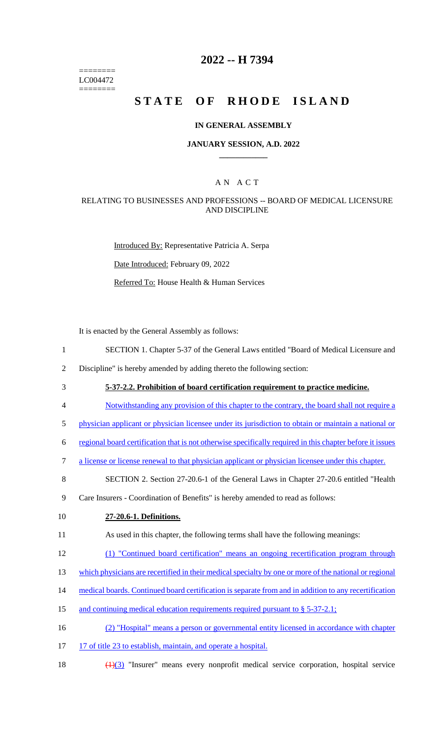======== LC004472 ========

# **2022 -- H 7394**

# **STATE OF RHODE ISLAND**

#### **IN GENERAL ASSEMBLY**

#### **JANUARY SESSION, A.D. 2022 \_\_\_\_\_\_\_\_\_\_\_\_**

## A N A C T

### RELATING TO BUSINESSES AND PROFESSIONS -- BOARD OF MEDICAL LICENSURE AND DISCIPLINE

Introduced By: Representative Patricia A. Serpa Date Introduced: February 09, 2022 Referred To: House Health & Human Services

It is enacted by the General Assembly as follows:

- 1 SECTION 1. Chapter 5-37 of the General Laws entitled "Board of Medical Licensure and
- 2 Discipline" is hereby amended by adding thereto the following section:
- 3 **5-37-2.2. Prohibition of board certification requirement to practice medicine.**
- 4 Notwithstanding any provision of this chapter to the contrary, the board shall not require a
- 5 physician applicant or physician licensee under its jurisdiction to obtain or maintain a national or
- 6 regional board certification that is not otherwise specifically required in this chapter before it issues
- 7 a license or license renewal to that physician applicant or physician licensee under this chapter.
- 8 SECTION 2. Section 27-20.6-1 of the General Laws in Chapter 27-20.6 entitled "Health
- 9 Care Insurers Coordination of Benefits" is hereby amended to read as follows:
- 10 **27-20.6-1. Definitions.**
- 11 As used in this chapter, the following terms shall have the following meanings:
- 12 (1) "Continued board certification" means an ongoing recertification program through
- 13 which physicians are recertified in their medical specialty by one or more of the national or regional
- 14 medical boards. Continued board certification is separate from and in addition to any recertification
- 15 and continuing medical education requirements required pursuant to § 5-37-2.1;
- 16 (2) "Hospital" means a person or governmental entity licensed in accordance with chapter
- 17 17 of title 23 to establish, maintain, and operate a hospital.
- 18 (1)(3) "Insurer" means every nonprofit medical service corporation, hospital service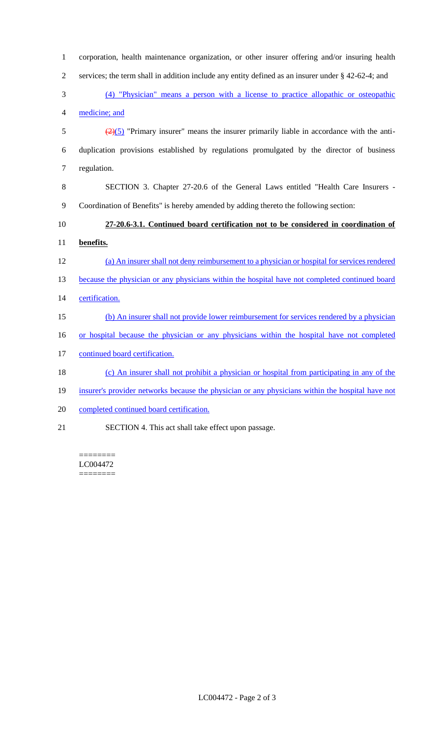| $\mathbf{1}$   | corporation, health maintenance organization, or other insurer offering and/or insuring health               |
|----------------|--------------------------------------------------------------------------------------------------------------|
| $\mathbf{2}$   | services; the term shall in addition include any entity defined as an insurer under $\S$ 42-62-4; and        |
| $\mathfrak{Z}$ | (4) "Physician" means a person with a license to practice allopathic or osteopathic                          |
| $\overline{4}$ | medicine; and                                                                                                |
| $\mathfrak s$  | $\left(\frac{2}{2}\right)$ "Primary insurer" means the insurer primarily liable in accordance with the anti- |
| 6              | duplication provisions established by regulations promulgated by the director of business                    |
| $\tau$         | regulation.                                                                                                  |
| $8\,$          | SECTION 3. Chapter 27-20.6 of the General Laws entitled "Health Care Insurers -                              |
| $\overline{9}$ | Coordination of Benefits" is hereby amended by adding thereto the following section:                         |
| 10             | 27-20.6-3.1. Continued board certification not to be considered in coordination of                           |
| 11             | benefits.                                                                                                    |
|                |                                                                                                              |
| 12             | (a) An insurer shall not deny reimbursement to a physician or hospital for services rendered                 |
| 13             | because the physician or any physicians within the hospital have not completed continued board               |
| 14             | certification.                                                                                               |
| 15             | (b) An insurer shall not provide lower reimbursement for services rendered by a physician                    |
| 16             | or hospital because the physician or any physicians within the hospital have not completed                   |
| 17             | continued board certification.                                                                               |
| 18             | (c) An insurer shall not prohibit a physician or hospital from participating in any of the                   |
| 19             | insurer's provider networks because the physician or any physicians within the hospital have not             |
| 20             | completed continued board certification.                                                                     |

 $=$ LC004472 ========